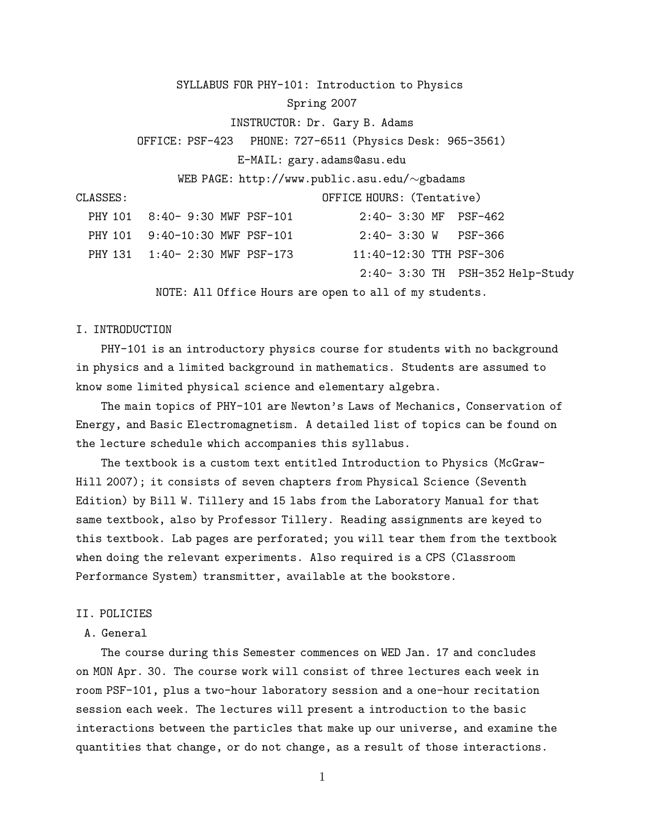SYLLABUS FOR PHY-101: Introduction to Physics Spring 2007 INSTRUCTOR: Dr. Gary B. Adams OFFICE: PSF-423 PHONE: 727-6511 (Physics Desk: 965-3561) E-MAIL: gary.adams@asu.edu WEB PAGE: http://www.public.asu.edu/∼gbadams CLASSES: OFFICE HOURS: (Tentative) PHY 101 8:40- 9:30 MWF PSF-101 2:40- 3:30 MF PSF-462 PHY 101 9:40-10:30 MWF PSF-101 2:40- 3:30 W PSF-366 PHY 131 1:40- 2:30 MWF PSF-173 11:40-12:30 TTH PSF-306 2:40- 3:30 TH PSH-352 Help-Study

NOTE: All Office Hours are open to all of my students.

# I. INTRODUCTION

PHY-101 is an introductory physics course for students with no background in physics and a limited background in mathematics. Students are assumed to know some limited physical science and elementary algebra.

The main topics of PHY-101 are Newton's Laws of Mechanics, Conservation of Energy, and Basic Electromagnetism. A detailed list of topics can be found on the lecture schedule which accompanies this syllabus.

The textbook is a custom text entitled Introduction to Physics (McGraw-Hill 2007); it consists of seven chapters from Physical Science (Seventh Edition) by Bill W. Tillery and 15 labs from the Laboratory Manual for that same textbook, also by Professor Tillery. Reading assignments are keyed to this textbook. Lab pages are perforated; you will tear them from the textbook when doing the relevant experiments. Also required is a CPS (Classroom Performance System) transmitter, available at the bookstore.

# II. POLICIES

# A. General

The course during this Semester commences on WED Jan. 17 and concludes on MON Apr. 30. The course work will consist of three lectures each week in room PSF-101, plus a two-hour laboratory session and a one-hour recitation session each week. The lectures will present a introduction to the basic interactions between the particles that make up our universe, and examine the quantities that change, or do not change, as a result of those interactions.

1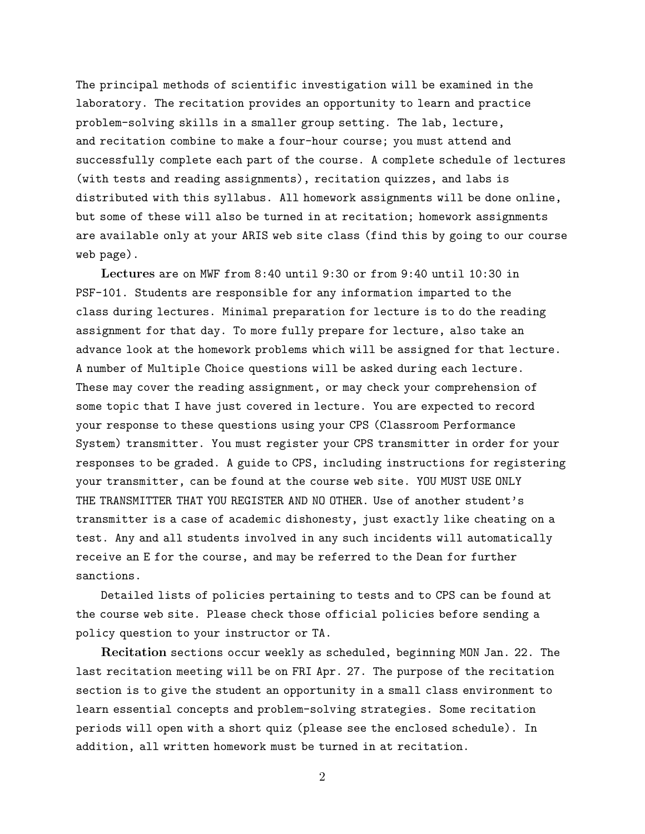The principal methods of scientific investigation will be examined in the laboratory. The recitation provides an opportunity to learn and practice problem-solving skills in a smaller group setting. The lab, lecture, and recitation combine to make a four-hour course; you must attend and successfully complete each part of the course. A complete schedule of lectures (with tests and reading assignments), recitation quizzes, and labs is distributed with this syllabus. All homework assignments will be done online, but some of these will also be turned in at recitation; homework assignments are available only at your ARIS web site class (find this by going to our course web page).

Lectures are on MWF from 8:40 until 9:30 or from 9:40 until 10:30 in PSF-101. Students are responsible for any information imparted to the class during lectures. Minimal preparation for lecture is to do the reading assignment for that day. To more fully prepare for lecture, also take an advance look at the homework problems which will be assigned for that lecture. A number of Multiple Choice questions will be asked during each lecture. These may cover the reading assignment, or may check your comprehension of some topic that I have just covered in lecture. You are expected to record your response to these questions using your CPS (Classroom Performance System) transmitter. You must register your CPS transmitter in order for your responses to be graded. A guide to CPS, including instructions for registering your transmitter, can be found at the course web site. YOU MUST USE ONLY THE TRANSMITTER THAT YOU REGISTER AND NO OTHER. Use of another student's transmitter is a case of academic dishonesty, just exactly like cheating on a test. Any and all students involved in any such incidents will automatically receive an E for the course, and may be referred to the Dean for further sanctions.

Detailed lists of policies pertaining to tests and to CPS can be found at the course web site. Please check those official policies before sending a policy question to your instructor or TA.

Recitation sections occur weekly as scheduled, beginning MON Jan. 22. The last recitation meeting will be on FRI Apr. 27. The purpose of the recitation section is to give the student an opportunity in a small class environment to learn essential concepts and problem-solving strategies. Some recitation periods will open with a short quiz (please see the enclosed schedule). In addition, all written homework must be turned in at recitation.

2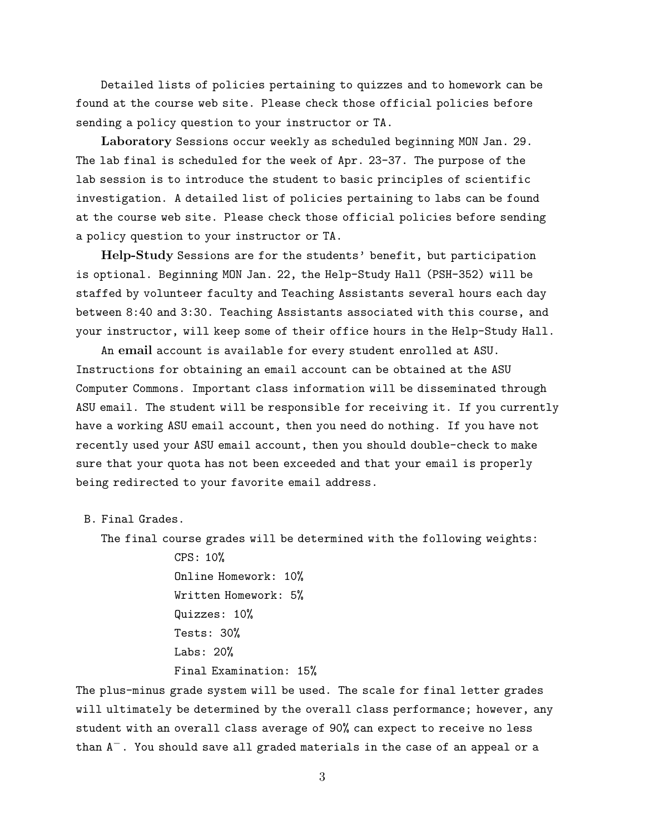Detailed lists of policies pertaining to quizzes and to homework can be found at the course web site. Please check those official policies before sending a policy question to your instructor or TA.

Laboratory Sessions occur weekly as scheduled beginning MON Jan. 29. The lab final is scheduled for the week of Apr. 23-37. The purpose of the lab session is to introduce the student to basic principles of scientific investigation. A detailed list of policies pertaining to labs can be found at the course web site. Please check those official policies before sending a policy question to your instructor or TA.

Help-Study Sessions are for the students' benefit, but participation is optional. Beginning MON Jan. 22, the Help-Study Hall (PSH-352) will be staffed by volunteer faculty and Teaching Assistants several hours each day between 8:40 and 3:30. Teaching Assistants associated with this course, and your instructor, will keep some of their office hours in the Help-Study Hall.

An email account is available for every student enrolled at ASU. Instructions for obtaining an email account can be obtained at the ASU Computer Commons. Important class information will be disseminated through ASU email. The student will be responsible for receiving it. If you currently have a working ASU email account, then you need do nothing. If you have not recently used your ASU email account, then you should double-check to make sure that your quota has not been exceeded and that your email is properly being redirected to your favorite email address.

B. Final Grades.

The final course grades will be determined with the following weights:

CPS: 10% Online Homework: 10% Written Homework: 5% Quizzes: 10% Tests: 30% Labs: 20% Final Examination: 15%

The plus-minus grade system will be used. The scale for final letter grades will ultimately be determined by the overall class performance; however, any student with an overall class average of 90% can expect to receive no less than  $A^-$ . You should save all graded materials in the case of an appeal or a

3